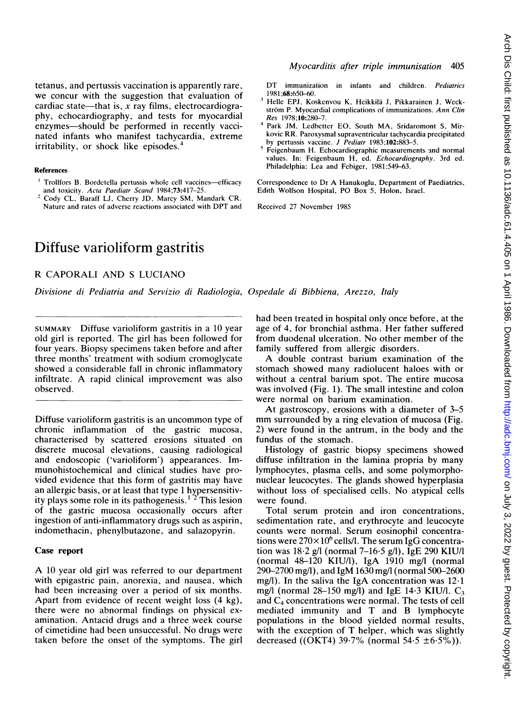tetanus, and pertussis vaccination is apparently rare, we concur with the suggestion that evaluation of cardiac state—that is, x ray films, electrocardiography, echocardiography, and tests for myocardial enzymes—should be performed in recently vaccinated infants who manifest tachycardia, extreme irritability, or shock like episodes.4

#### References

- <sup>1</sup> Trollfors B. Bordetella pertussis whole cell vaccines-efficacy and toxicity. Acta Paediatr Scand 1984;73:417-25.
- <sup>2</sup> Cody CL, Baraff LJ, Cherry JD, Marcy SM, Mandark CR. Nature and rates of adverse reactions associated with DPT and

## Myocarditis after triple immunisation 405

DT immunization in infants and children. Pediatrics 1981;68:650-60.

- <sup>3</sup> Helle EPJ, Koskenvou K, Heikkila J, Pikkarainen J, Weckström P. Myocardial complications of immunizations. Ann Clin Res 1978;10:280-7.
- <sup>4</sup> Park JM, Ledbetter EO, South MA, Sridaromont S, Mirkovic RR. Paroxysmal supraventricular tachycardia precipitated by pertussis vaccine. J Pediatr 1983;102:883-5.
- <sup>5</sup> Feigenbaum H. Echocardiographic measurements and normal values. In: Feigenbaum H, ed. Echocardiography. 3rd ed. Philadelphia: Lea and Febiger, 1981:549-63.

Correspondence to Dr A Hanukoglu, Department of Paediatrics, Edith Wolfson Hospital, PO Box 5, Holon, Israel.

Received 27 November 1985

# Diffuse varioliform gastritis

R CAPORALI AND <sup>S</sup> LUCIANO

Divisione di Pediatria and Servizio di Radiologia, Ospedale di Bibbiena, Arezzo, Italy

SUMMARY Diffuse varioliform gastritis in a 10 year old girl is reported. The girl has been followed for four years. Biopsy specimens taken before and after three months' treatment with sodium cromoglycate showed a considerable fall in chronic inflammatory infiltrate. A rapid clinical improvement was also observed.

Diffuse varioliform gastritis is an uncommon type of chronic inflammation of the gastric mucosa, characterised by scattered erosions situated on discrete mucosal elevations, causing radiological and endoscopic ('varioliform') appearances. Immunohistochemical and clinical studies have provided evidence that this form of gastritis may have an allergic basis, or at least that type <sup>1</sup> hypersensitivity plays some role in its pathogenesis.<sup>1</sup> <sup>2</sup> This lesion of the gastric mucosa occasionally occurs after ingestion of anti-inflammatory drugs such as aspirin, indomethacin, phenylbutazone, and salazopyrin.

#### Case report

A <sup>10</sup> year old girl was referred to our department with epigastric pain, anorexia, and nausea, which had been increasing over a period of six months. Apart from evidence of recent weight loss (4 kg), there were no abnormal findings on physical examination. Antacid drugs and a three week course of cimetidine had been unsuccessful. No drugs were taken before the onset of the symptoms. The girl had been treated in hospital only once before, at the age of 4, for bronchial asthma. Her father suffered from duodenal ulceration. No other member of the family suffered from allergic disorders.

A double contrast barium examination of the stomach showed many radiolucent haloes with or without a central barium spot. The entire mucosa was involved (Fig. 1). The small intestine and colon were normal on barium examination.

At gastroscopy, erosions with a diameter of 3-5 mm surrounded by <sup>a</sup> ring elevation of mucosa (Fig. 2) were found in the antrum, in the body and the fundus of the stomach.

Histology of gastric biopsy specimens showed diffuse infiltration in the lamina propria by many lymphocytes, plasma cells, and some polymorphonuclear leucocytes. The glands showed hyperplasia without loss of specialised cells. No atypical cells were found.

Total serum protein and iron concentrations, sedimentation rate, and erythrocyte and leucocyte counts were normal. Serum eosinophil concentrations were  $270\times10^6$  cells/l. The serum IgG concentration was  $18.2$  g/l (normal 7-16.5 g/l), IgE 290 KIU/l (normal  $48-120$  KIU/l), IgA  $1910$  mg/l (normal 290-2700 mg/l), and IgM 1630 mg/l (normal 500-2600 mg/l). In the saliva the IgA concentration was  $12 \cdot 1$ mg/l (normal  $28-150$  mg/l) and IgE 14.3 KIU/l. C<sub>3</sub> and C4 concentrations were normal. The tests of cell mediated immunity and T and B lymphocyte populations in the blood yielded normal results, with the exception of T helper, which was slightly decreased ((OKT4) 39.7% (normal 54.5  $\pm 6.5\%$ )).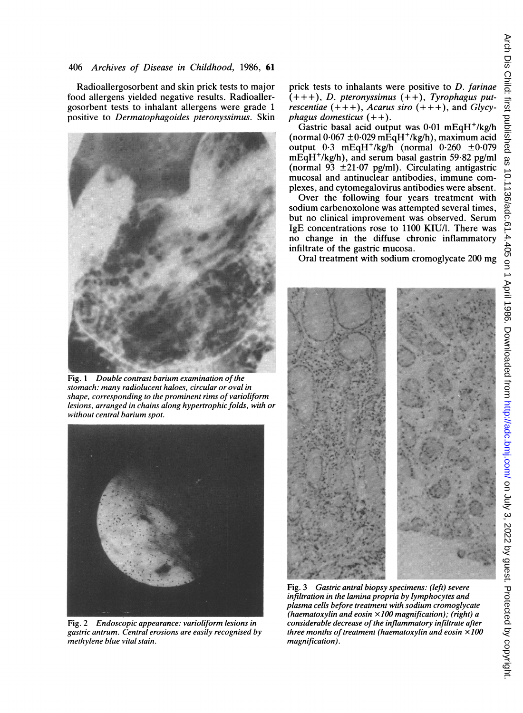Radioallergosorbent and skin prick tests to major food allergens yielded negative results. Radioallergosorbent tests to inhalant allergens were grade <sup>1</sup> positive to Dermatophagoides pteronyssimus. Skin



Fig. <sup>1</sup> Double contrast barium examination of the stomach: many radiolucent haloes, circular or oval in shape, corresponding to the prominent rims of varioliform lesions, arranged in chains along hypertrophic folds, with or without central barium spot.



Fig. 2 Endoscopic appearance: varioliform lesions in gastric antrum. Central erosions are easily recognised by methylene blue vital stain.

prick tests to inhalants were positive to  $D$ . farinae  $(+++)$ , D. pteronyssimus  $(++)$ , Tyrophagus putrescentiae  $(+ + +)$ , Acarus siro  $(+ + +)$ , and Glycyphagus domesticus  $(++)$ .

Gastric basal acid output was  $0.01$  mEqH<sup>+</sup>/kg/h (normal  $0.067 \pm 0.029$  mEqH<sup>+</sup>/kg/h), maximum acid output  $0.3$  mEqH<sup>+</sup>/kg/h (normal  $0.260 \pm 0.079$ mEqH<sup>+</sup>/kg/h), and serum basal gastrin 59.82 pg/ml (normal 93  $\pm$ 21.07 pg/ml). Circulating antigastric mucosal and antinuclear antibodies, immune complexes, and cytomegalovirus antibodies were absent.

Over the following four years treatment with sodium carbenoxolone was attempted several times, but no clinical improvement was observed. Serum IgE concentrations rose to 1100 KIU/l. There was no change in the diffuse chronic inflammatory infiltrate of the gastric mucosa.

Oral treatment with sodium cromoglycate 200 mg



Fig. 3 Gastric antral biopsy specimens: (left) severe infiltration in the lamina propria by lymphocytes and plasma cells before treatment with sodium cromoglycate (haematoxylin and eosin  $\times100$  magnification); (right) a considerable decrease of the inflammatory infiltrate after three months of treatment (haematoxylin and eosin  $\times 100$ magnification).